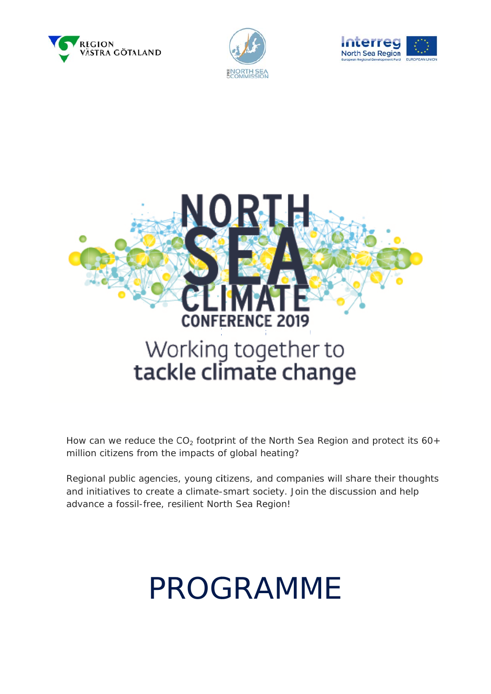







How can we reduce the  $CO<sub>2</sub>$  footprint of the North Sea Region and protect its 60+ million citizens from the impacts of global heating?

Regional public agencies, young citizens, and companies will share their thoughts and initiatives to create a climate-smart society. Join the discussion and help advance a fossil-free, resilient North Sea Region!

# **PROGRAMME**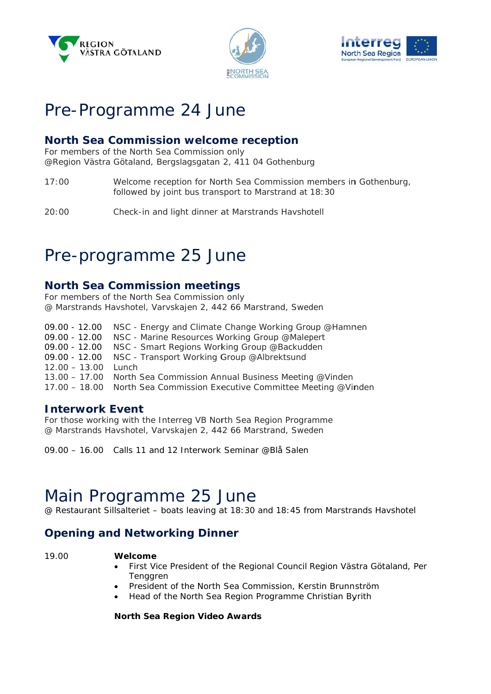





## Pre-Programme 24 June

#### **North Sea Commission welcome reception**

For members of the North Sea Commission only @Region Västra Götaland, Bergslagsgatan 2, 411 04 Gothenburg

 $17:00$ Welcome reception for North Sea Commission members in Gothenburg, followed by joint bus transport to Marstrand at 18:30

 $20:00$ Check-in and light dinner at Marstrands Havshotell

## Pre-programme 25 June

#### **North Sea Commission meetings**

For members of the North Sea Commission only @ Marstrands Havshotel, Varvskajen 2, 442 66 Marstrand, Sweden

09.00 - 12.00 NSC - Energy and Climate Change Working Group @Hamnen 09.00 - 12.00 NSC - Marine Resources Working Group @Malepert<br>09.00 - 12.00 NSC - Smart Regions Working Group @Backudden 09.00 - 12.00 NSC - Transport Working Group @Albrektsund 12.00 - 13.00 Lunch 13.00 - 17.00 North Sea Commission Annual Business Meeting @Vinden 17.00 - 18.00 North Sea Commission Executive Committee Meeting @Vinden

#### **Interwork Event**

For those working with the Interreg VB North Sea Region Programme @ Marstrands Havshotel, Varvskajen 2, 442 66 Marstrand, Sweden

09.00 - 16.00 Calls 11 and 12 Interwork Seminar @Blå Salen

### Main Programme 25 June

@ Restaurant Sillsalteriet - boats leaving at 18:30 and 18:45 from Marstrands Havshotel

#### **Opening and Networking Dinner**

19.00

#### Welcome

- First Vice President of the Regional Council Region Västra Götaland, Per Tenggren
- President of the North Sea Commission, Kerstin Brunnström
- Head of the North Sea Region Programme Christian Byrith

North Sea Region Video Awards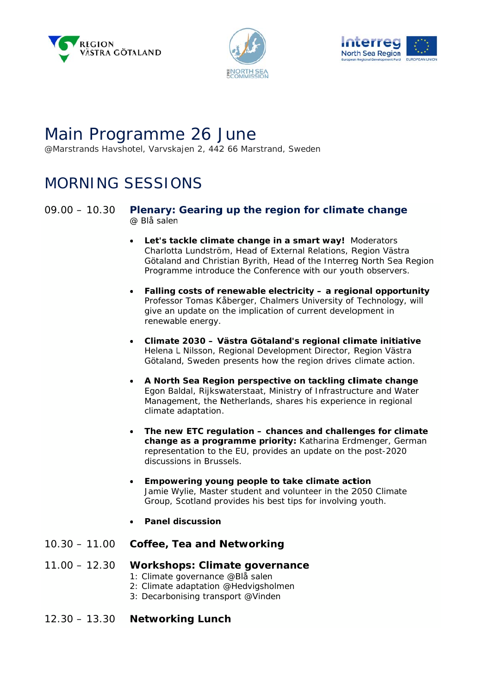





# Main Programme 26 June

@Marstrands Havshotel, Varvskajen 2, 442 66 Marstrand, Sweden

# **MORNING SESSIONS**

#### $09.00 - 10.30$ Plenary: Gearing up the region for climate change @ Blå salen

- Let's tackle climate change in a smart way! Moderators Charlotta Lundström, Head of External Relations, Region Västra Götaland and Christian Byrith, Head of the Interreg North Sea Region Programme introduce the Conference with our youth observers.
- Falling costs of renewable electricity a regional opportunity Professor Tomas Kåberger, Chalmers University of Technology, will give an update on the implication of current development in renewable energy.
- Climate 2030 Västra Götaland's regional climate initiative Helena L Nilsson, Regional Development Director, Region Västra Götaland, Sweden presents how the region drives climate action.
- A North Sea Region perspective on tackling climate change Egon Baldal, Rijkswaterstaat, Ministry of Infrastructure and Water Management, the Netherlands, shares his experience in regional climate adaptation.
- The new ETC regulation chances and challenges for climate change as a programme priority: Katharina Erdmenger, German representation to the EU, provides an update on the post-2020 discussions in Brussels
- Empowering young people to take climate action Jamie Wylie, Master student and volunteer in the 2050 Climate Group, Scotland provides his best tips for involving youth.
- **Panel discussion**
- $10.30 11.00$ **Coffee, Tea and Networking**
- $11.00 12.30$ **Workshops: Climate governance** 1: Climate governance @Blå salen
	- 2: Climate adaptation @Hedvigsholmen
	- 3: Decarbonising transport @Vinden
- $12.30 13.30$ **Networking Lunch**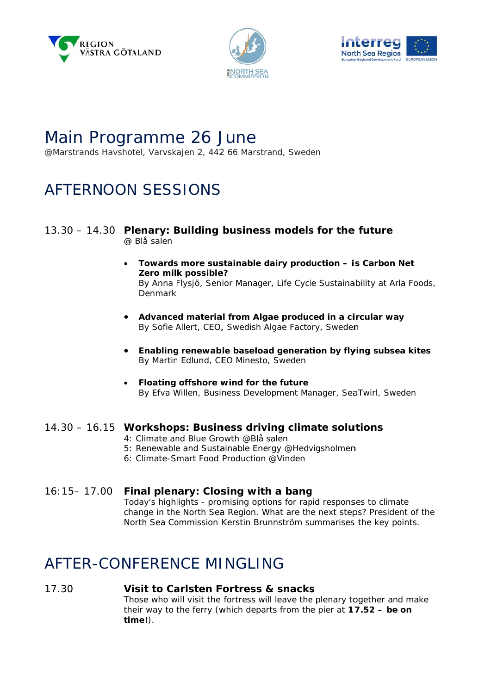





### Main Programme 26 June

@Marstrands Havshotel, Varvskajen 2, 442 66 Marstrand, Sweden

## AFTERNOON SESSIONS

#### 13.30 - 14.30 Plenary: Building business models for the future @ Blå salen

- Towards more sustainable dairy production is Carbon Net Zero milk possible? By Anna Flysjö, Senior Manager, Life Cycle Sustainability at Arla Foods, Denmark
- Advanced material from Algae produced in a circular way By Sofie Allert, CEO, Swedish Algae Factory, Sweden
- Enabling renewable baseload generation by flying subsea kites By Martin Edlund, CEO Minesto, Sweden
- Floating offshore wind for the future By Efva Willen, Business Development Manager, SeaTwirl, Sweden

#### 14.30 - 16.15 Workshops: Business driving climate solutions

- 4: Climate and Blue Growth @Blå salen
- 5: Renewable and Sustainable Energy @Hedviasholmen
- 6: Climate-Smart Food Production @Vinden

#### $16:15 - 17.00$ Final plenary: Closing with a bang Today's highlights - promising options for rapid responses to climate change in the North Sea Region. What are the next steps? President of the North Sea Commission Kerstin Brunnström summarises the key points.

### AFTER-CONFERENCE MINGLING

#### 17.30 Visit to Carlsten Fortress & snacks

Those who will visit the fortress will leave the plenary together and make their way to the ferry (which departs from the pier at  $17.52 - be$  on  $time$ .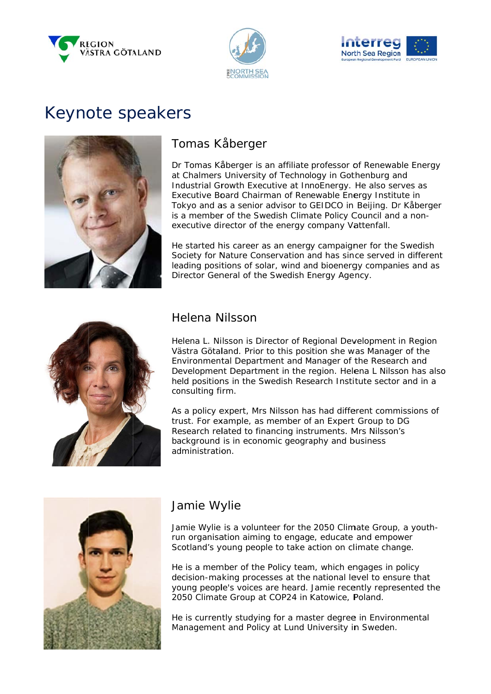





# Keynote speakers



### Tomas Kåberger

Dr Tomas Kåberger is an affiliate professor of Renewable Energy at Chalmers University of Technology in Gothenburg and Industrial Growth Executive at InnoEnergy. He also serves as Executive Board Chairman of Renewable Energy Institute in Tokyo and as a senior advisor to GEIDCO in Beijing. Dr Kåberger is a member of the Swedish Climate Policy Council and a nonexecutive director of the energy company Vattenfall.

He started his career as an energy campaigner for the Swedish Society for Nature Conservation and has since served in different leading positions of solar, wind and bioenergy companies and as Director General of the Swedish Energy Agency.



#### Helena Nilsson

Helena L. Nilsson is Director of Regional Development in Region Västra Götaland. Prior to this position she was Manager of the Environmental Department and Manager of the Research and Development Department in the region. Helena L Nilsson has also held positions in the Swedish Research Institute sector and in a consulting firm.

As a policy expert, Mrs Nilsson has had different commissions of trust. For example, as member of an Expert Group to DG Research related to financing instruments. Mrs Nilsson's background is in economic geography and business administration.



### Jamie Wylie

Jamie Wylie is a volunteer for the 2050 Climate Group, a youthrun organisation aiming to engage, educate and empower Scotland's young people to take action on climate change.

He is a member of the Policy team, which engages in policy decision-making processes at the national level to ensure that young people's voices are heard. Jamie recently represented the 2050 Climate Group at COP24 in Katowice, Poland.

He is currently studying for a master degree in Environmental Management and Policy at Lund University in Sweden.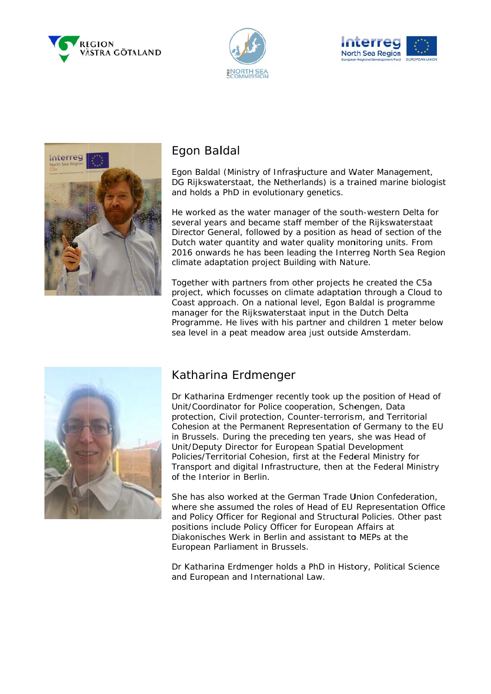







#### Egon Baldal

Egon Baldal (Ministry of Infrasructure and Water Management, DG Rijkswaterstaat, the Netherlands) is a trained marine biologist and holds a PhD in evolutionary genetics.

He worked as the water manager of the south-western Delta for several years and became staff member of the Rijkswaterstaat Director General, followed by a position as head of section of the Dutch water quantity and water quality monitoring units. From 2016 onwards he has been leading the Interreg North Sea Region climate adaptation project Building with Nature.

Together with partners from other projects he created the C5a project, which focusses on climate adaptation through a Cloud to Coast approach. On a national level. Egon Baldal is programme manager for the Rijkswaterstaat input in the Dutch Delta Programme. He lives with his partner and children 1 meter below sea level in a peat meadow area just outside Amsterdam.



### Katharina Erdmenger

Dr Katharina Erdmenger recently took up the position of Head of Unit/Coordinator for Police cooperation, Schengen, Data protection, Civil protection, Counter-terrorism, and Territorial Cohesion at the Permanent Representation of Germany to the EU in Brussels. During the preceding ten years, she was Head of Unit/Deputy Director for European Spatial Development Policies/Territorial Cohesion, first at the Federal Ministry for Transport and digital Infrastructure, then at the Federal Ministry of the Interior in Berlin

She has also worked at the German Trade Union Confederation, where she assumed the roles of Head of EU Representation Office and Policy Officer for Regional and Structural Policies. Other past positions include Policy Officer for European Affairs at Diakonisches Werk in Berlin and assistant to MEPs at the European Parliament in Brussels.

Dr Katharina Erdmenger holds a PhD in History, Political Science and European and International Law.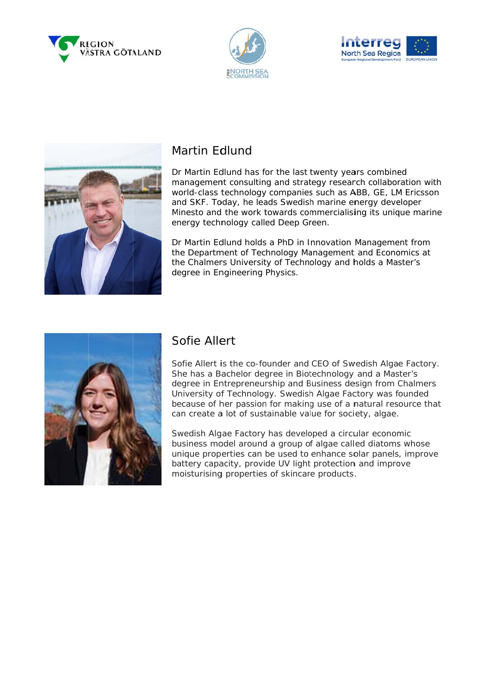







#### Martin Edlund

Dr Martin Edlund has for the last twenty years combined management consulting and strategy research collaboration with world-class technology companies such as ABB, GE, LM Ericsson and SKF. Today, he leads Swedish marine energy developer Minesto and the work towards commercialising its unique marine energy technology called Deep Green.

Dr Martin Edlund holds a PhD in Innovation Management from the Department of Technology Management and Economics at the Chalmers University of Technology and holds a Master's degree in Engineering Physics.



#### Sofie Allert

Sofie Allert is the co-founder and CEO of Swedish Algae Factory. She has a Bachelor degree in Biotechnology and a Master's degree in Entrepreneurship and Business design from Chalmers University of Technology. Swedish Algae Factory was founded because of her passion for making use of a natural resource that can create a lot of sustainable value for society, algae.

Swedish Algae Factory has developed a circular economic business model around a group of algae called diatoms whose unique properties can be used to enhance solar panels, improve battery capacity, provide UV light protection and improve moisturising properties of skincare products.